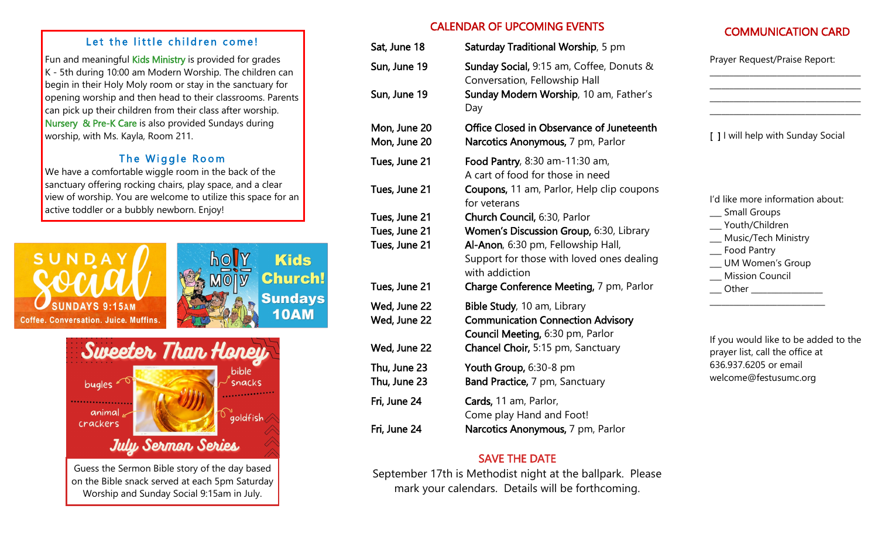#### Let the little children come!

Fun and meaningful Kids Ministry is provided for grades  $K - 5$ th during 10:00 am Modern Worship. The children can begin in their Holy Moly room or stay in the sanctuary for opening worship and then head to their classrooms. Parents can pick up their children from their class after worship. Nursery & Pre-K Care is also provided Sundays during worship, with Ms. Kayla, Room 211.

## The Wiggle Room

We have a comfortable wiggle room in the back of the sanctuary offering rocking chairs, play space, and a clear view of worship. You are welcome to utilize this space for an active toddler or a bubbly newborn. Enjoy!





on the Bible snack served at each 5pm Saturday Worship and Sunday Social 9:15am in July.

## CALENDAR OF UPCOMING EVENTS

| CALENDAR OF UPCOMING EVENTS  |                                                                                                             | <b>COMMUNICATION CARD</b>                                                                        |  |
|------------------------------|-------------------------------------------------------------------------------------------------------------|--------------------------------------------------------------------------------------------------|--|
| Sat, June 18                 | Saturday Traditional Worship, 5 pm                                                                          |                                                                                                  |  |
| Sun, June 19                 | Sunday Social, 9:15 am, Coffee, Donuts &<br>Conversation, Fellowship Hall                                   | Prayer Request/Praise Report:                                                                    |  |
| Sun, June 19                 | Sunday Modern Worship, 10 am, Father's<br>Day                                                               |                                                                                                  |  |
| Mon, June 20<br>Mon, June 20 | Office Closed in Observance of Juneteenth<br>Narcotics Anonymous, 7 pm, Parlor                              | [ ] I will help with Sunday Social                                                               |  |
| Tues, June 21                | Food Pantry, 8:30 am-11:30 am,<br>A cart of food for those in need                                          |                                                                                                  |  |
| Tues, June 21                | Coupons, 11 am, Parlor, Help clip coupons<br>for veterans                                                   | I'd like more information about:                                                                 |  |
| Tues, June 21                | _ Small Groups<br>Church Council, 6:30, Parlor                                                              | __ Youth/Children                                                                                |  |
| Tues, June 21                | Women's Discussion Group, 6:30, Library                                                                     | __ Music/Tech Ministry                                                                           |  |
| Tues, June 21                | Al-Anon, 6:30 pm, Fellowship Hall,<br>Support for those with loved ones dealing<br>with addiction           | _ Food Pantry<br>__ UM Women's Group<br>_ Mission Council                                        |  |
| Tues, June 21                | Charge Conference Meeting, 7 pm, Parlor                                                                     | ___ Other ________________                                                                       |  |
| Wed, June 22<br>Wed, June 22 | Bible Study, 10 am, Library<br><b>Communication Connection Advisory</b><br>Council Meeting, 6:30 pm, Parlor |                                                                                                  |  |
| Wed, June 22                 | Chancel Choir, 5:15 pm, Sanctuary                                                                           | If you would like to be added to the<br>prayer list, call the office at<br>636.937.6205 or email |  |
| Thu, June 23                 | Youth Group, 6:30-8 pm                                                                                      |                                                                                                  |  |
| Thu, June 23                 | Band Practice, 7 pm, Sanctuary                                                                              | welcome@festusumc.org                                                                            |  |
| Fri, June 24                 | Cards, 11 am, Parlor,<br>Come play Hand and Foot!                                                           |                                                                                                  |  |
| Fri, June 24                 | Narcotics Anonymous, 7 pm, Parlor                                                                           |                                                                                                  |  |

## SAVE THE DATE

September 17th is Methodist night at the ballpark. Please mark your calendars. Details will be forthcoming.